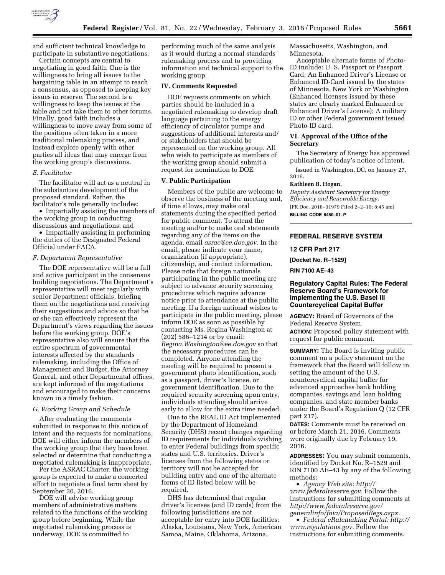

and sufficient technical knowledge to participate in substantive negotiations.

Certain concepts are central to negotiating in good faith. One is the willingness to bring all issues to the bargaining table in an attempt to reach a consensus, as opposed to keeping key issues in reserve. The second is a willingness to keep the issues at the table and not take them to other forums. Finally, good faith includes a willingness to move away from some of the positions often taken in a more traditional rulemaking process, and instead explore openly with other parties all ideas that may emerge from the working group's discussions.

#### *E. Facilitator*

The facilitator will act as a neutral in the substantive development of the proposed standard. Rather, the facilitator's role generally includes:

• Impartially assisting the members of the working group in conducting discussions and negotiations; and

• Impartially assisting in performing the duties of the Designated Federal Official under FACA.

### *F. Department Representative*

The DOE representative will be a full and active participant in the consensus building negotiations. The Department's representative will meet regularly with senior Department officials, briefing them on the negotiations and receiving their suggestions and advice so that he or she can effectively represent the Department's views regarding the issues before the working group. DOE's representative also will ensure that the entire spectrum of governmental interests affected by the standards rulemaking, including the Office of Management and Budget, the Attorney General, and other Departmental offices, are kept informed of the negotiations and encouraged to make their concerns known in a timely fashion.

#### *G. Working Group and Schedule*

After evaluating the comments submitted in response to this notice of intent and the requests for nominations, DOE will either inform the members of the working group that they have been selected or determine that conducting a negotiated rulemaking is inappropriate.

Per the ASRAC Charter, the working group is expected to make a concerted effort to negotiate a final term sheet by September 30, 2016.

DOE will advise working group members of administrative matters related to the functions of the working group before beginning. While the negotiated rulemaking process is underway, DOE is committed to

performing much of the same analysis as it would during a normal standards rulemaking process and to providing information and technical support to the working group.

#### **IV. Comments Requested**

DOE requests comments on which parties should be included in a negotiated rulemaking to develop draft language pertaining to the energy efficiency of circulator pumps and suggestions of additional interests and/ or stakeholders that should be represented on the working group. All who wish to participate as members of the working group should submit a request for nomination to DOE.

#### **V. Public Participation**

Members of the public are welcome to observe the business of the meeting and, if time allows, may make oral statements during the specified period for public comment. To attend the meeting and/or to make oral statements regarding any of the items on the agenda, email *[asrac@ee.doe.gov.](mailto:asrac@ee.doe.gov)* In the email, please indicate your name, organization (if appropriate), citizenship, and contact information. Please note that foreign nationals participating in the public meeting are subject to advance security screening procedures which require advance notice prior to attendance at the public meeting. If a foreign national wishes to participate in the public meeting, please inform DOE as soon as possible by contacting Ms. Regina Washington at (202) 586–1214 or by email: *[Regina.Washington@ee.doe.gov](mailto:Regina.Washington@ee.doe.gov)* so that the necessary procedures can be completed. Anyone attending the meeting will be required to present a government photo identification, such as a passport, driver's license, or government identification. Due to the required security screening upon entry, individuals attending should arrive early to allow for the extra time needed.

Due to the REAL ID Act implemented by the Department of Homeland Security (DHS) recent changes regarding ID requirements for individuals wishing to enter Federal buildings from specific states and U.S. territories. Driver's licenses from the following states or territory will not be accepted for building entry and one of the alternate forms of ID listed below will be required.

DHS has determined that regular driver's licenses (and ID cards) from the following jurisdictions are not acceptable for entry into DOE facilities: Alaska, Louisiana, New York, American Samoa, Maine, Oklahoma, Arizona,

Massachusetts, Washington, and Minnesota.

Acceptable alternate forms of Photo-ID include: U. S. Passport or Passport Card; An Enhanced Driver's License or Enhanced ID-Card issued by the states of Minnesota, New York or Washington (Enhanced licenses issued by these states are clearly marked Enhanced or Enhanced Driver's License); A military ID or other Federal government issued Photo-ID card.

## **VI. Approval of the Office of the Secretary**

The Secretary of Energy has approved publication of today's notice of intent.

Issued in Washington, DC, on January 27, 2016.

## **Kathleen B. Hogan,**

*Deputy Assistant Secretary for Energy Efficiency and Renewable Energy.*  [FR Doc. 2016–01979 Filed 2–2–16; 8:45 am]

**BILLING CODE 6450–01–P** 

## **FEDERAL RESERVE SYSTEM**

#### **12 CFR Part 217**

**[Docket No. R–1529]** 

**RIN 7100 AE–43** 

## **Regulatory Capital Rules: The Federal Reserve Board's Framework for Implementing the U.S. Basel III Countercyclical Capital Buffer**

**AGENCY:** Board of Governors of the Federal Reserve System. **ACTION:** Proposed policy statement with request for public comment.

**SUMMARY:** The Board is inviting public comment on a policy statement on the framework that the Board will follow in setting the amount of the U.S. countercyclical capital buffer for advanced approaches bank holding companies, savings and loan holding companies, and state member banks under the Board's Regulation Q (12 CFR part 217).

**DATES:** Comments must be received on or before March 21, 2016. Comments were originally due by February 19, 2016.

**ADDRESSES:** You may submit comments, identified by Docket No. R–1529 and RIN 7100 AE–43 by any of the following methods:

• *Agency Web site: [http://](http://www.federalreserve.gov) [www.federalreserve.gov.](http://www.federalreserve.gov)* Follow the instructions for submitting comments at *[http://www.federalreserve.gov/](http://www.federalreserve.gov/generalinfo/foia/ProposedRegs.aspx) [generalinfo/foia/ProposedRegs.aspx.](http://www.federalreserve.gov/generalinfo/foia/ProposedRegs.aspx)* 

• *Federal eRulemaking Portal: [http://](http://www.regulations.gov)  [www.regulations.gov.](http://www.regulations.gov)* Follow the instructions for submitting comments.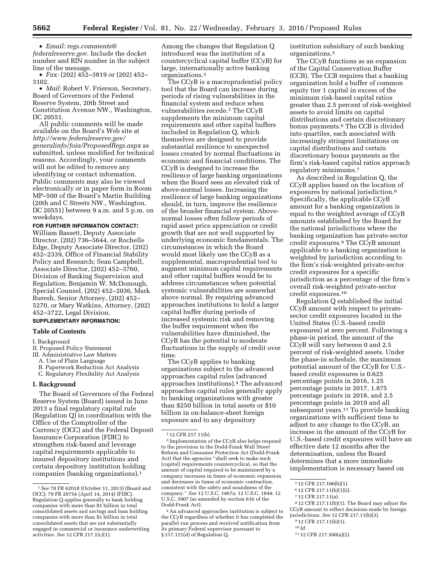• *Email: [regs.comments@](mailto:regs.comments@federalreserve.gov) [federalreserve.gov.](mailto:regs.comments@federalreserve.gov)* Include the docket number and RIN number in the subject line of the message.

• *Fax:* (202) 452–3819 or (202) 452– 3102.

• *Mail:* Robert V. Frierson, Secretary, Board of Governors of the Federal Reserve System, 20th Street and Constitution Avenue NW., Washington, DC 20551.

All public comments will be made available on the Board's Web site at *[http://www.federalreserve.gov/](http://www.federalreserve.gov/generalinfo/foia/ProposedRegs.aspx) [generalinfo/foia/ProposedRegs.aspx](http://www.federalreserve.gov/generalinfo/foia/ProposedRegs.aspx)* as submitted, unless modified for technical reasons. Accordingly, your comments will not be edited to remove any identifying or contact information. Public comments may also be viewed electronically or in paper form in Room MP–500 of the Board's Martin Building (20th and C Streets NW., Washington, DC 20551) between 9 a.m. and 5 p.m. on weekdays.

#### **FOR FURTHER INFORMATION CONTACT:**

William Bassett, Deputy Associate Director, (202) 736–5644, or Rochelle Edge, Deputy Associate Director, (202) 452–2339, Office of Financial Stability Policy and Research; Sean Campbell, Associate Director, (202) 452–3760, Division of Banking Supervision and Regulation; Benjamin W. McDonough, Special Counsel, (202) 452–2036, Mark Buresh, Senior Attorney, (202) 452– 5270, or Mary Watkins, Attorney, (202) 452–3722, Legal Division. **SUPPLEMENTARY INFORMATION:** 

## **Table of Contents**

#### I. Background

II. Proposed Policy Statement

III. Administrative Law Matters

- A. Use of Plain Language
- B. Paperwork Reduction Act Analysis C. Regulatory Flexibility Act Analysis

#### **I. Background**

The Board of Governors of the Federal Reserve System (Board) issued in June 2013 a final regulatory capital rule (Regulation Q) in coordination with the Office of the Comptroller of the Currency (OCC) and the Federal Deposit Insurance Corporation (FDIC) to strengthen risk-based and leverage capital requirements applicable to insured depository institutions and certain depository institution holding companies (banking organizations).1

Among the changes that Regulation Q introduced was the institution of a countercyclical capital buffer (CCyB) for large, internationally active banking organizations.2

The CCyB is a macroprudential policy tool that the Board can increase during periods of rising vulnerabilities in the financial system and reduce when vulnerabilities recede.3 The CCyB supplements the minimum capital requirements and other capital buffers included in Regulation Q, which themselves are designed to provide substantial resilience to unexpected losses created by normal fluctuations in economic and financial conditions. The CCyB is designed to increase the resilience of large banking organizations when the Board sees an elevated risk of above-normal losses. Increasing the resilience of large banking organizations should, in turn, improve the resilience of the broader financial system. Abovenormal losses often follow periods of rapid asset price appreciation or credit growth that are not well supported by underlying economic fundamentals. The circumstances in which the Board would most likely use the CCyB as a supplemental, macroprudential tool to augment minimum capital requirements and other capital buffers would be to address circumstances when potential systemic vulnerabilities are somewhat above normal. By requiring advanced approaches institutions to hold a larger capital buffer during periods of increased systemic risk and removing the buffer requirement when the vulnerabilities have diminished, the CCyB has the potential to moderate fluctuations in the supply of credit over time.

The CCyB applies to banking organizations subject to the advanced approaches capital rules (advanced approaches institutions).4 The advanced approaches capital rules generally apply to banking organizations with greater than \$250 billion in total assets or \$10 billion in on-balance-sheet foreign exposure and to any depository

institution subsidiary of such banking organizations.5

The CCyB functions as an expansion of the Capital Conservation Buffer (CCB). The CCB requires that a banking organization hold a buffer of common equity tier 1 capital in excess of the minimum risk-based capital ratios greater than 2.5 percent of risk-weighted assets to avoid limits on capital distributions and certain discretionary bonus payments.6 The CCB is divided into quartiles, each associated with increasingly stringent limitations on capital distributions and certain discretionary bonus payments as the firm's risk-based capital ratios approach regulatory minimums.7

As described in Regulation Q, the CCyB applies based on the location of exposures by national jurisdiction.8 Specifically, the applicable CCyB amount for a banking organization is equal to the weighted average of CCyB amounts established by the Board for the national jurisdictions where the banking organization has private-sector credit exposures.9 The CCyB amount applicable to a banking organization is weighted by jurisdiction according to the firm's risk-weighted private-sector credit exposures for a specific jurisdiction as a percentage of the firm's overall risk-weighted private-sector credit exposures.10

Regulation Q established the initial CCyB amount with respect to privatesector credit exposures located in the United States (U.S.-based credit exposures) at zero percent. Following a phase-in period, the amount of the CCyB will vary between 0 and 2.5 percent of risk-weighted assets. Under the phase-in schedule, the maximum potential amount of the CCyB for U.S. based credit exposures is 0.625 percentage points in 2016, 1.25 percentage points in 2017, 1.875 percentage points in 2018, and 2.5 percentage points in 2019 and all subsequent years.<sup>11</sup> To provide banking organizations with sufficient time to adjust to any change to the CCyB, an increase in the amount of the CCyB for U.S.-based credit exposures will have an effective date 12 months after the determination, unless the Board determines that a more immediate implementation is necessary based on

9 12 CFR 217.11(b)(1).

<sup>1</sup>*See* 78 FR 62018 (October 11, 2013) (Board and OCC); 79 FR 20754 (April 14, 2014) (FDIC). Regulation Q applies generally to bank holding companies with more than \$1 billion in total consolidated assets and savings and loan holding companies with more than \$1 billion in total consolidated assets that are not substantially engaged in commercial or insurance underwriting activities. *See* 12 CFR 217.1(c)(1).

<sup>2</sup> 12 CFR 217.11(b).

<sup>3</sup> Implementation of the CCyB also helps respond to the provision in the Dodd-Frank Wall Street Reform and Consumer Protection Act (Dodd-Frank Act) that the agencies ''shall seek to make such [capital] requirements countercyclical, so that the amount of capital required to be maintained by a company increases in times of economic expansion and decreases in times of economic contraction, consistent with the safety and soundness of the company.'' *See* 12 U.S.C. 1467a; 12 U.S.C. 1844; 12 U.S.C. 3907 (as amended by section 616 of the Dodd-Frank Act).

<sup>4</sup>An advanced approaches institution is subject to the CCyB regardless of whether it has completed the parallel run process and received notification from its primary Federal supervisor pursuant to § 217.121(d) of Regulation Q.

<sup>5</sup> 12 CFR 217.100(b)(1).

<sup>6</sup> 12 CFR 217.11(b)(1)(i).

<sup>7</sup> 12 CFR 217.11(a).

<sup>8</sup> 12 CFR 217.11(b)(1). The Board may adjust the CCyB amount to reflect decisions made by foreign jurisdictions. *See* 12 CFR 217.11(b)(3).

 $10$  *Id.* 

<sup>11</sup> 12 CFR 217.300(a)(2).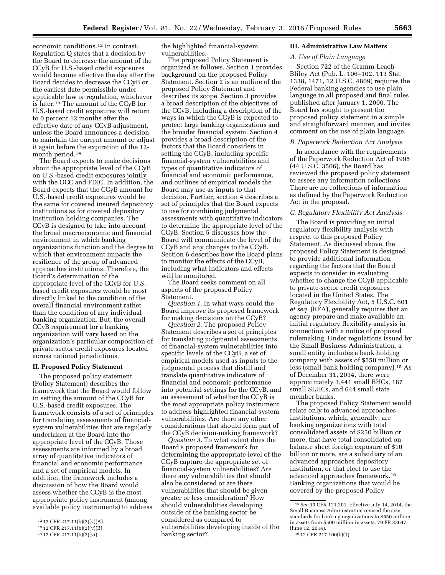economic conditions.12 In contrast, Regulation Q states that a decision by the Board to decrease the amount of the CCyB for U.S.-based credit exposures would become effective the day after the Board decides to decrease the CCyB or the earliest date permissible under applicable law or regulation, whichever is later.13 The amount of the CCyB for U.S.-based credit exposures will return to 0 percent 12 months after the effective date of any CCyB adjustment, unless the Board announces a decision to maintain the current amount or adjust it again before the expiration of the 12 month period.14

The Board expects to make decisions about the appropriate level of the CCyB on U.S.-based credit exposures jointly with the OCC and FDIC. In addition, the Board expects that the CCyB amount for U.S.-based credit exposures would be the same for covered insured depository institutions as for covered depository institution holding companies. The CCyB is designed to take into account the broad macroeconomic and financial environment in which banking organizations function and the degree to which that environment impacts the resilience of the group of advanced approaches institutions. Therefore, the Board's determination of the appropriate level of the CCyB for U.S. based credit exposures would be most directly linked to the condition of the overall financial environment rather than the condition of any individual banking organization. But, the overall CCyB requirement for a banking organization will vary based on the organization's particular composition of private sector credit exposures located across national jurisdictions.

### **II. Proposed Policy Statement**

The proposed policy statement (Policy Statement) describes the framework that the Board would follow in setting the amount of the CCyB for U.S.-based credit exposures. The framework consists of a set of principles for translating assessments of financialsystem vulnerabilities that are regularly undertaken at the Board into the appropriate level of the CCyB. Those assessments are informed by a broad array of quantitative indicators of financial and economic performance and a set of empirical models. In addition, the framework includes a discussion of how the Board would assess whether the CCyB is the most appropriate policy instrument (among available policy instruments) to address

the highlighted financial-system vulnerabilities.

The proposed Policy Statement is organized as follows. Section 1 provides background on the proposed Policy Statement. Section 2 is an outline of the proposed Policy Statement and describes its scope. Section 3 provides a broad description of the objectives of the CCyB, including a description of the ways in which the CCyB is expected to protect large banking organizations and the broader financial system. Section 4 provides a broad description of the factors that the Board considers in setting the CCyB, including specific financial-system vulnerabilities and types of quantitative indicators of financial and economic performance, and outlines of empirical models the Board may use as inputs to that decision. Further, section 4 describes a set of principles that the Board expects to use for combining judgmental assessments with quantitative indicators to determine the appropriate level of the CCyB. Section 5 discusses how the Board will communicate the level of the CCyB and any changes to the CCyB. Section 6 describes how the Board plans to monitor the effects of the CCyB, including what indicators and effects will be monitored.

The Board seeks comment on all aspects of the proposed Policy Statement.

*Question 1.* In what ways could the Board improve its proposed framework for making decisions on the CCyB?

*Question 2.* The proposed Policy Statement describes a set of principles for translating judgmental assessments of financial-system vulnerabilities into specific levels of the CCyB, a set of empirical models used as inputs to the judgmental process that distill and translate quantitative indicators of financial and economic performance into potential settings for the CCyB, and an assessment of whether the CCyB is the most appropriate policy instrument to address highlighted financial-system vulnerabilities. Are there any other considerations that should form part of the CCyB decision-making framework?

*Question 3.* To what extent does the Board's proposed framework for determining the appropriate level of the CCyB capture the appropriate set of financial-system vulnerabilities? Are there any vulnerabilities that should also be considered or are there vulnerabilities that should be given greater or less consideration? How should vulnerabilities developing outside of the banking sector be considered as compared to vulnerabilities developing inside of the banking sector?

#### **III. Administrative Law Matters**

## *A. Use of Plain Language*

Section 722 of the Gramm-Leach-Bliley Act (Pub. L. 106–102, 113 Stat. 1338, 1471, 12 U.S.C. 4809) requires the Federal banking agencies to use plain language in all proposed and final rules published after January 1, 2000. The Board has sought to present the proposed policy statement in a simple and straightforward manner, and invites comment on the use of plain language.

## *B. Paperwork Reduction Act Analysis*

In accordance with the requirements of the Paperwork Reduction Act of 1995 (44 U.S.C. 3506), the Board has reviewed the proposed policy statement to assess any information collections. There are no collections of information as defined by the Paperwork Reduction Act in the proposal.

## *C. Regulatory Flexibility Act Analysis*

The Board is providing an initial regulatory flexibility analysis with respect to this proposed Policy Statement. As discussed above, the proposed Policy Statement is designed to provide additional information regarding the factors that the Board expects to consider in evaluating whether to change the CCyB applicable to private-sector credit exposures located in the United States. The Regulatory Flexibility Act, 5 U.S.C. 601 *et seq.* (RFA), generally requires that an agency prepare and make available an initial regulatory flexibility analysis in connection with a notice of proposed rulemaking. Under regulations issued by the Small Business Administration, a small entity includes a bank holding company with assets of \$550 million or less (small bank holding company).15 As of December 31, 2014, there were approximately 3,441 small BHCs, 187 small SLHCs, and 644 small state member banks.

The proposed Policy Statement would relate only to advanced approaches institutions, which, generally, are banking organizations with total consolidated assets of \$250 billion or more, that have total consolidated onbalance sheet foreign exposure of \$10 billion or more, are a subsidiary of an advanced approaches depository institution, or that elect to use the advanced approaches framework.16 Banking organizations that would be covered by the proposed Policy

<sup>12</sup> 12 CFR 217.11(b)(2)(v)(A).

<sup>13</sup> 12 CFR 217.11(b)(2)(v)(B).

<sup>14</sup> 12 CFR 217.11(b)(2)(vi).

<sup>15</sup>*See* 13 CFR 121.201. Effective July 14, 2014, the Small Business Administration revised the size standards for banking organizations to \$550 million in assets from \$500 million in assets. 79 FR 33647 (June 12, 2014).

<sup>16</sup> 12 CFR 217.100(b)(1).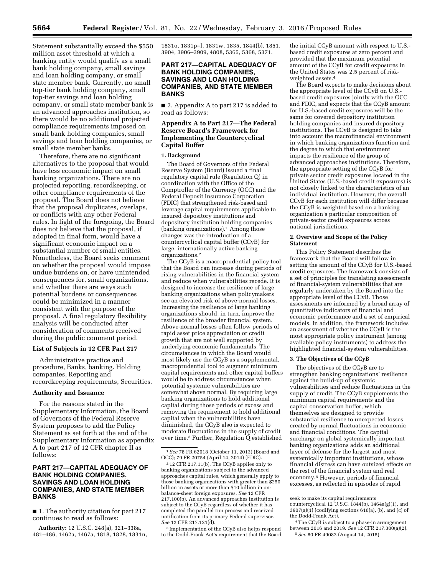Statement substantially exceed the \$550 million asset threshold at which a banking entity would qualify as a small bank holding company, small savings and loan holding company, or small state member bank. Currently, no small top-tier bank holding company, small top-tier savings and loan holding company, or small state member bank is an advanced approaches institution, so there would be no additional projected compliance requirements imposed on small bank holding companies, small savings and loan holding companies, or small state member banks.

Therefore, there are no significant alternatives to the proposal that would have less economic impact on small banking organizations. There are no projected reporting, recordkeeping, or other compliance requirements of the proposal. The Board does not believe that the proposal duplicates, overlaps, or conflicts with any other Federal rules. In light of the foregoing, the Board does not believe that the proposal, if adopted in final form, would have a significant economic impact on a substantial number of small entities. Nonetheless, the Board seeks comment on whether the proposal would impose undue burdens on, or have unintended consequences for, small organizations, and whether there are ways such potential burdens or consequences could be minimized in a manner consistent with the purpose of the proposal. A final regulatory flexibility analysis will be conducted after consideration of comments received during the public comment period.

#### **List of Subjects in 12 CFR Part 217**

Administrative practice and procedure, Banks, banking. Holding companies, Reporting and recordkeeping requirements, Securities.

#### **Authority and Issuance**

For the reasons stated in the Supplementary Information, the Board of Governors of the Federal Reserve System proposes to add the Policy Statement as set forth at the end of the Supplementary Information as appendix A to part 217 of 12 CFR chapter II as follows:

## **PART 217—CAPITAL ADEQUACY OF BANK HOLDING COMPANIES, SAVINGS AND LOAN HOLDING COMPANIES, AND STATE MEMBER BANKS**

■ 1. The authority citation for part 217 continues to read as follows:

**Authority:** 12 U.S.C. 248(a), 321–338a, 481–486, 1462a, 1467a, 1818, 1828, 1831n, 1831o, 1831p–l, 1831w, 1835, 1844(b), 1851, 3904, 3906–3909, 4808, 5365, 5368, 5371.

## **PART 217—CAPITAL ADEQUACY OF BANK HOLDING COMPANIES, SAVINGS AND LOAN HOLDING COMPANIES, AND STATE MEMBER BANKS**

■ 2. Appendix A to part 217 is added to read as follows:

## **Appendix A to Part 217—The Federal Reserve Board's Framework for Implementing the Countercyclical Capital Buffer**

#### **1. Background**

The Board of Governors of the Federal Reserve System (Board) issued a final regulatory capital rule (Regulation Q) in coordination with the Office of the Comptroller of the Currency (OCC) and the Federal Deposit Insurance Corporation (FDIC) that strengthened risk-based and leverage capital requirements applicable to insured depository institutions and depository institution holding companies (banking organizations).1 Among those changes was the introduction of a countercyclical capital buffer (CCyB) for large, internationally active banking organizations.2

The CCyB is a macroprudential policy tool that the Board can increase during periods of rising vulnerabilities in the financial system and reduce when vulnerabilities recede. It is designed to increase the resilience of large banking organizations when policymakers see an elevated risk of above-normal losses. Increasing the resilience of large banking organizations should, in turn, improve the resilience of the broader financial system. Above-normal losses often follow periods of rapid asset price appreciation or credit growth that are not well supported by underlying economic fundamentals. The circumstances in which the Board would most likely use the CCyB as a supplemental, macroprudential tool to augment minimum capital requirements and other capital buffers would be to address circumstances when potential systemic vulnerabilities are somewhat above normal. By requiring large banking organizations to hold additional capital during those periods of excess and removing the requirement to hold additional capital when the vulnerabilities have diminished, the CCyB also is expected to moderate fluctuations in the supply of credit over time.3 Further, Regulation Q established

3 Implementation of the CCyB also helps respond to the Dodd-Frank Act's requirement that the Board

the initial CCyB amount with respect to U.S. based credit exposures at zero percent and provided that the maximum potential amount of the CCyB for credit exposures in the United States was 2.5 percent of riskweighted assets.4

The Board expects to make decisions about the appropriate level of the CCyB on U.S. based credit exposures jointly with the OCC and FDIC, and expects that the CCyB amount for U.S.-based credit exposures will be the same for covered depository institution holding companies and insured depository institutions. The CCyB is designed to take into account the macrofinancial environment in which banking organizations function and the degree to which that environment impacts the resilience of the group of advanced approaches institutions. Therefore, the appropriate setting of the CCyB for private sector credit exposures located in the United States (U.S.-based credit exposures) is not closely linked to the characteristics of an individual institution. However, the overall CCyB for each institution will differ because the CCyB is weighted based on a banking organization's particular composition of private-sector credit exposures across national jurisdictions.

#### **2. Overview and Scope of the Policy Statement**

This Policy Statement describes the framework that the Board will follow in setting the amount of the CCyB for U.S.-based credit exposures. The framework consists of a set of principles for translating assessments of financial-system vulnerabilities that are regularly undertaken by the Board into the appropriate level of the CCyB. Those assessments are informed by a broad array of quantitative indicators of financial and economic performance and a set of empirical models. In addition, the framework includes an assessment of whether the CCyB is the most appropriate policy instrument (among available policy instruments) to address the highlighted financial-system vulnerabilities.

#### **3. The Objectives of the CCyB**

The objectives of the CCyB are to strengthen banking organizations' resilience against the build-up of systemic vulnerabilities and reduce fluctuations in the supply of credit. The CCyB supplements the minimum capital requirements and the capital conservation buffer, which themselves are designed to provide substantial resilience to unexpected losses created by normal fluctuations in economic and financial conditions. The capital surcharge on global systemically important banking organizations adds an additional layer of defense for the largest and most systemically important institutions, whose financial distress can have outsized effects on the rest of the financial system and real economy.5 However, periods of financial excesses, as reflected in episodes of rapid

<sup>1</sup>*See* 78 FR 62018 (October 11, 2013) (Board and OCC); 79 FR 20754 (April 14, 2014) (FDIC).

<sup>2</sup> 12 CFR 217.11(b). The CCyB applies only to banking organizations subject to the advanced approaches capital rules, which generally apply to those banking organizations with greater than \$250 billion in assets or more than \$10 billion in onbalance-sheet foreign exposures. *See* 12 CFR 217.100(b). An advanced approaches institution is subject to the CCyB regardless of whether it has completed the parallel run process and received notification from its primary Federal supervisor. *See* 12 CFR 217.121(d).

seek to make its capital requirements countercyclical  $12$  U.S.C. 1844(b), 1464a(g)(1), and  $3907(a)(1)$  (codifying sections  $616(a)$ , (b), and (c) of the Dodd-Frank Act).

<sup>4</sup>The CCyB is subject to a phase-in arrangement between 2016 and 2019. *See* 12 CFR 217.300(a)(2). 5*See* 80 FR 49082 (August 14, 2015).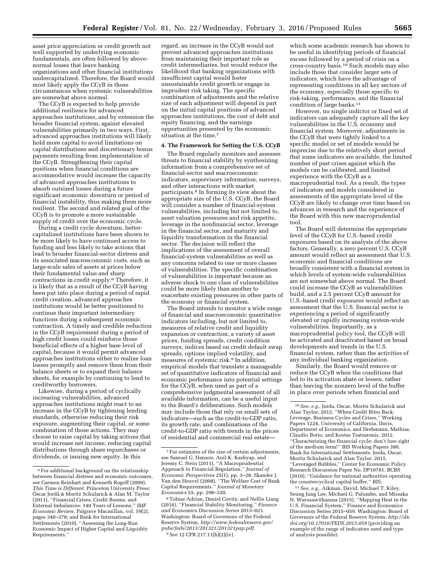asset price appreciation or credit growth not well supported by underlying economic fundamentals, are often followed by abovenormal losses that leave banking organizations and other financial institutions undercapitalized. Therefore, the Board would most likely apply the CCyB in those circumstances when systemic vulnerabilities are somewhat above normal.

The CCyB is expected to help provide additional resilience for advanced approaches institutions, and by extension the broader financial system, against elevated vulnerabilities primarily in two ways. First, advanced approaches institutions will likely hold more capital to avoid limitations on capital distributions and discretionary bonus payments resulting from implementation of the CCyB. Strengthening their capital positions when financial conditions are accommodative would increase the capacity of advanced approaches institutions to absorb outsized losses during a future significant economic downturn or period of financial instability, thus making them more resilient. The second and related goal of the CCyB is to promote a more sustainable supply of credit over the economic cycle.

During a credit cycle downturn, bettercapitalized institutions have been shown to be more likely to have continued access to funding and less likely to take actions that lead to broader financial-sector distress and its associated macroeconomic costs, such as large-scale sales of assets at prices below their fundamental value and sharp contractions in credit supply.6 Therefore, it is likely that as a result of the CCyB having been put into place during a period of rapid credit creation, advanced approaches institutions would be better positioned to continue their important intermediary functions during a subsequent economic contraction. A timely and credible reduction in the CCyB requirement during a period of high credit losses could reinforce those beneficial effects of a higher base level of capital, because it would permit advanced approaches institutions either to realize loan losses promptly and remove them from their balance sheets or to expand their balance sheets, for example by continuing to lend to creditworthy borrowers.

Likewise, during a period of cyclically increasing vulnerabilities, advanced approaches institutions might react to an increase in the CCyB by tightening lending standards, otherwise reducing their risk exposure, augmenting their capital, or some combination of those actions. They may choose to raise capital by taking actions that would increase net income, reducing capital distributions through share repurchases or dividends, or issuing new equity. In this

regard, an increase in the CCyB would not prevent advanced approaches institutions from maintaining their important role as credit intermediaries, but would reduce the likelihood that banking organizations with insufficient capital would foster unsustainable credit growth or engage in imprudent risk taking. The specific combination of adjustments and the relative size of each adjustment will depend in part on the initial capital positions of advanced approaches institutions, the cost of debt and equity financing, and the earnings opportunities presented by the economic situation at the time.7

#### **4. The Framework for Setting the U.S. CCyB**

The Board regularly monitors and assesses threats to financial stability by synthesizing information from a comprehensive set of financial-sector and macroeconomic indicators, supervisory information, surveys, and other interactions with market participants.8 In forming its view about the appropriate size of the U.S. CCyB, the Board will consider a number of financial-system vulnerabilities, including but not limited to, asset valuation pressures and risk appetite, leverage in the nonfinancial sector, leverage in the financial sector, and maturity and liquidity transformation in the financial sector. The decision will reflect the implications of the assessment of overall financial-system vulnerabilities as well as any concerns related to one or more classes of vulnerabilities. The specific combination of vulnerabilities is important because an adverse shock to one class of vulnerabilities could be more likely than another to exacerbate existing pressures in other parts of the economy or financial system.

The Board intends to monitor a wide range of financial and macroeconomic quantitative indicators including, but not limited to, measures of relative credit and liquidity expansion or contraction, a variety of asset prices, funding spreads, credit condition surveys, indices based on credit default swap spreads, options implied volatility, and measures of systemic risk.9 In addition, empirical models that translate a manageable set of quantitative indicators of financial and economic performance into potential settings for the CCyB, when used as part of a comprehensive judgmental assessment of all available information, can be a useful input to the Board's deliberations. Such models may include those that rely on small sets of indicators—such as the credit-to-GDP ratio, its growth rate, and combinations of the credit-to-GDP ratio with trends in the prices of residential and commercial real estate—

which some academic research has shown to be useful in identifying periods of financial excess followed by a period of crisis on a cross-country basis.10 Such models may also include those that consider larger sets of indicators, which have the advantage of representing conditions in all key sectors of the economy, especially those specific to risk-taking, performance, and the financial condition of large banks.11

However, no single indictor or fixed set of indicators can adequately capture all the key vulnerabilities in the U.S. economy and financial system. Moreover, adjustments in the CCyB that were tightly linked to a specific model or set of models would be imprecise due to the relatively short period that some indicators are available, the limited number of past crises against which the models can be calibrated, and limited experience with the CCyB as a macroprudential tool. As a result, the types of indicators and models considered in assessments of the appropriate level of the CCyB are likely to change over time based on advances in research and the experience of the Board with this new macroprudential tool.

The Board will determine the appropriate level of the CCyB for U.S.-based credit exposures based on its analysis of the above factors. Generally, a zero percent U.S. CCyB amount would reflect an assessment that U.S. economic and financial conditions are broadly consistent with a financial system in which levels of system-wide vulnerabilities are not somewhat above normal. The Board could increase the CCyB as vulnerabilities build, and a 2.5 percent CCyB amount for U.S.-based credit exposures would reflect an assessment that the U.S. financial sector is experiencing a period of significantly elevated or rapidly increasing system-wide vulnerabilities. Importantly, as a macroprudential policy tool, the CCyB will be activated and deactivated based on broad developments and trends in the U.S. financial system, rather than the activities of any individual banking organization.

Similarly, the Board would remove or reduce the CCyB when the conditions that led to its activation abate or lessen, rather than leaving the nonzero level of the buffer in place over periods when financial and

11*See, e.g.,* Aikman, David, Michael T. Kiley, Seung Jung Lee, Michael G. Palumbo, and Missaka N. Warusawitharana (2015), ''Mapping Heat in the U.S. Financial System,'' Finance and Economics Discussion Series 2015–059. Washington: Board of Governors of the Federal Reserve System, *[http://dx.](http://dx.doi.org/10.17016/FEDS.2015.059) [doi.org/10.17016/FEDS.2015.059](http://dx.doi.org/10.17016/FEDS.2015.059)* (providing an example of the range of indicators used and type of analysis possible).

<sup>6</sup>For additional background on the relationship between financial distress and economic outcomes, see Carmen Reinhart and Kenneth Rogoff (2009), *This Time is Different.* Princeton University Press; O` scar Jorda` & Moritz Schularick & Alan M. Taylor (2011), ''Financial Crises, Credit Booms, and External Imbalances: 140 Years of Lessons,'' *IMF Economic Review,* Palgrave Macmillan, vol. 59(2), pages 340–378; and Bank for International Settlements (2010), ''Assessing the Long-Run Economic Impact of Higher Capital and Liquidity Requirements.''

<sup>7</sup>For estimates of the size of certain adjustments, see Samuel G. Hanson, Anil K. Kashyap, and Jeremy C. Stein (2011), ''A Macroprudential Approach to Financial Regulation,'' *Journal of Economic Perspectives* 25(1), pp. 3–28; Skander J. Van den Heuvel (2008), ''The Welfare Cost of Bank Capital Requirements.'' *Journal of Monetary Economics* 55, pp. 298–320.

<sup>8</sup>Tobias Adrian, Daniel Covitz, and Nellie Liang (2014), ''Financial Stability Monitoring.'' *Finance and Economics Discussion Series* 2013–021. Washington: Board of Governors of the Federal Reserve System, *[http://www.federalreserve.gov/](http://www.federalreserve.gov/pubs/feds/2013/201321/201321pap.pdf) [pubs/feds/2013/201321/201321pap.pdf.](http://www.federalreserve.gov/pubs/feds/2013/201321/201321pap.pdf)*  9*See* 12 CFR 217.11(b)(2)(iv).

<sup>10</sup>*See, e.g.,* Jorda, Oscar, Moritz Schularick and Alan Taylor, 2012. ''When Credit Bites Back: Leverage, Business Cycles and Crises,'' Working Papers 1224, University of California, Davis, Department of Economics, and Drehmann, Mathias, Claudio Borio, and Kostas Tsatsaronis, 2012. ''Characterizing the financial cycle: don't lose sight of the medium term!'' BIS Working Papers 380, Bank for International Settlements. Jorda, Oscar, Moritz Schularick and Alan Taylor, 2015. ''Leveraged Bubbles,'' Center for Economic Policy Research Discussion Paper No. DP10781. BCBS (2010), ''Guidance for national authorities operating the countercyclical capital buffer,'' BIS.